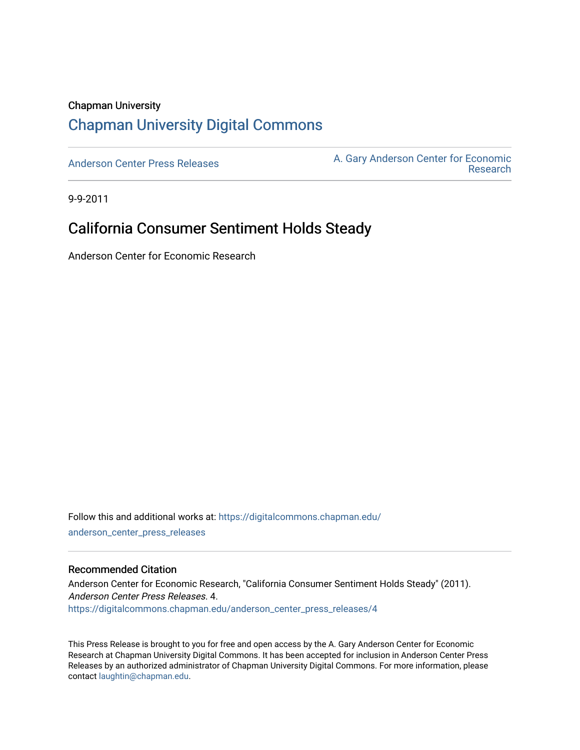## Chapman University [Chapman University Digital Commons](https://digitalcommons.chapman.edu/)

[Anderson Center Press Releases](https://digitalcommons.chapman.edu/anderson_center_press_releases) Anderson Center for Economic A. Gary Anderson Center for Economic [Research](https://digitalcommons.chapman.edu/anderson_center) 

9-9-2011

## California Consumer Sentiment Holds Steady

Anderson Center for Economic Research

Follow this and additional works at: [https://digitalcommons.chapman.edu/](https://digitalcommons.chapman.edu/anderson_center_press_releases?utm_source=digitalcommons.chapman.edu%2Fanderson_center_press_releases%2F4&utm_medium=PDF&utm_campaign=PDFCoverPages) [anderson\\_center\\_press\\_releases](https://digitalcommons.chapman.edu/anderson_center_press_releases?utm_source=digitalcommons.chapman.edu%2Fanderson_center_press_releases%2F4&utm_medium=PDF&utm_campaign=PDFCoverPages)

#### Recommended Citation

Anderson Center for Economic Research, "California Consumer Sentiment Holds Steady" (2011). Anderson Center Press Releases. 4. [https://digitalcommons.chapman.edu/anderson\\_center\\_press\\_releases/4](https://digitalcommons.chapman.edu/anderson_center_press_releases/4?utm_source=digitalcommons.chapman.edu%2Fanderson_center_press_releases%2F4&utm_medium=PDF&utm_campaign=PDFCoverPages) 

This Press Release is brought to you for free and open access by the A. Gary Anderson Center for Economic Research at Chapman University Digital Commons. It has been accepted for inclusion in Anderson Center Press Releases by an authorized administrator of Chapman University Digital Commons. For more information, please contact [laughtin@chapman.edu](mailto:laughtin@chapman.edu).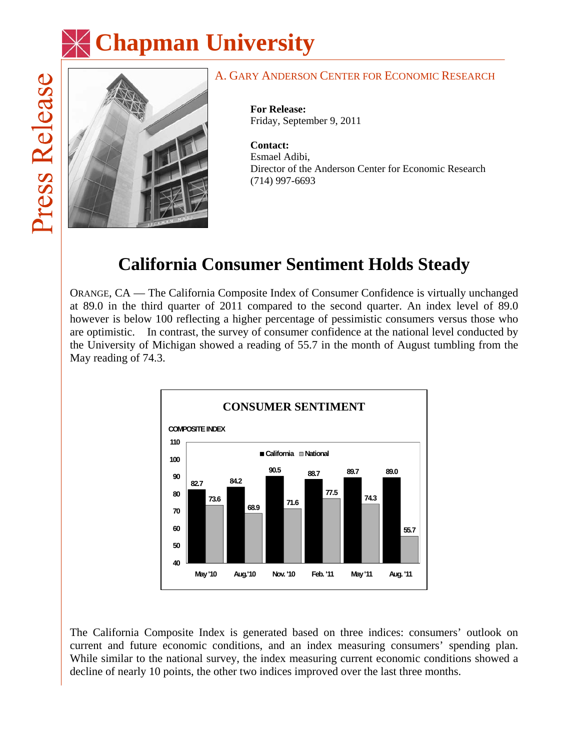



### A. GARY ANDERSON CENTER FOR ECONOMIC RESEARCH

**For Release:**  Friday, September 9, 2011

**Contact:**  Esmael Adibi, Director of the Anderson Center for Economic Research (714) 997-6693

# **California Consumer Sentiment Holds Steady**

ORANGE, CA — The California Composite Index of Consumer Confidence is virtually unchanged at 89.0 in the third quarter of 2011 compared to the second quarter. An index level of 89.0 however is below 100 reflecting a higher percentage of pessimistic consumers versus those who are optimistic. In contrast, the survey of consumer confidence at the national level conducted by the University of Michigan showed a reading of 55.7 in the month of August tumbling from the May reading of 74.3.



The California Composite Index is generated based on three indices: consumers' outlook on current and future economic conditions, and an index measuring consumers' spending plan. While similar to the national survey, the index measuring current economic conditions showed a decline of nearly 10 points, the other two indices improved over the last three months.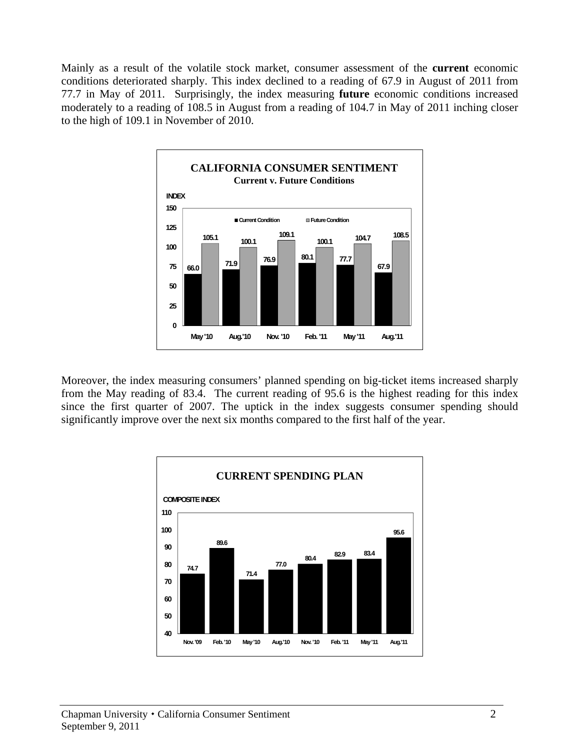Mainly as a result of the volatile stock market, consumer assessment of the **current** economic conditions deteriorated sharply. This index declined to a reading of 67.9 in August of 2011 from 77.7 in May of 2011. Surprisingly, the index measuring **future** economic conditions increased moderately to a reading of 108.5 in August from a reading of 104.7 in May of 2011 inching closer to the high of 109.1 in November of 2010.



Moreover, the index measuring consumers' planned spending on big-ticket items increased sharply from the May reading of 83.4. The current reading of 95.6 is the highest reading for this index since the first quarter of 2007. The uptick in the index suggests consumer spending should significantly improve over the next six months compared to the first half of the year.

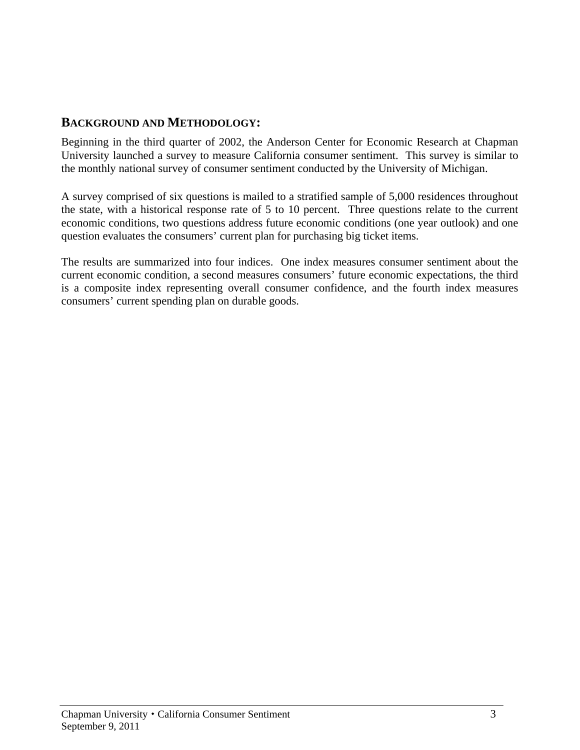### **BACKGROUND AND METHODOLOGY:**

Beginning in the third quarter of 2002, the Anderson Center for Economic Research at Chapman University launched a survey to measure California consumer sentiment. This survey is similar to the monthly national survey of consumer sentiment conducted by the University of Michigan.

A survey comprised of six questions is mailed to a stratified sample of 5,000 residences throughout the state, with a historical response rate of 5 to 10 percent. Three questions relate to the current economic conditions, two questions address future economic conditions (one year outlook) and one question evaluates the consumers' current plan for purchasing big ticket items.

The results are summarized into four indices. One index measures consumer sentiment about the current economic condition, a second measures consumers' future economic expectations, the third is a composite index representing overall consumer confidence, and the fourth index measures consumers' current spending plan on durable goods.